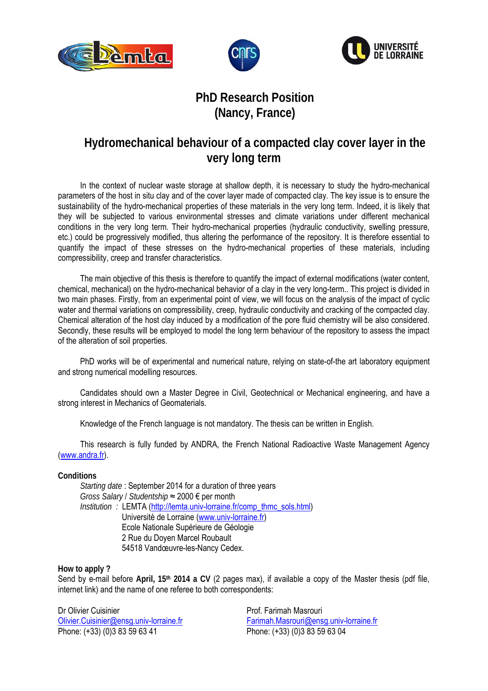





## **PhD Research Position (Nancy, France)**

## **Hydromechanical behaviour of a compacted clay cover layer in the very long term**

In the context of nuclear waste storage at shallow depth, it is necessary to study the hydro-mechanical parameters of the host in situ clay and of the cover layer made of compacted clay. The key issue is to ensure the sustainability of the hydro-mechanical properties of these materials in the very long term. Indeed, it is likely that they will be subjected to various environmental stresses and climate variations under different mechanical conditions in the very long term. Their hydro-mechanical properties (hydraulic conductivity, swelling pressure, etc.) could be progressively modified, thus altering the performance of the repository. It is therefore essential to quantify the impact of these stresses on the hydro-mechanical properties of these materials, including compressibility, creep and transfer characteristics.

The main objective of this thesis is therefore to quantify the impact of external modifications (water content, chemical, mechanical) on the hydro-mechanical behavior of a clay in the very long-term.. This project is divided in two main phases. Firstly, from an experimental point of view, we will focus on the analysis of the impact of cyclic water and thermal variations on compressibility, creep, hydraulic conductivity and cracking of the compacted clay. Chemical alteration of the host clay induced by a modification of the pore fluid chemistry will be also considered. Secondly, these results will be employed to model the long term behaviour of the repository to assess the impact of the alteration of soil properties.

PhD works will be of experimental and numerical nature, relying on state-of-the art laboratory equipment and strong numerical modelling resources.

Candidates should own a Master Degree in Civil, Geotechnical or Mechanical engineering, and have a strong interest in Mechanics of Geomaterials.

Knowledge of the French language is not mandatory. The thesis can be written in English.

This research is fully funded by ANDRA, the French National Radioactive Waste Management Agency (www.andra.fr).

## **Conditions**

*Starting date* : September 2014 for a duration of three years *Gross Salary* / *Studentship* ≈ 2000 € per month *Institution :* LEMTA (http://lemta.univ-lorraine.fr/comp\_thmc\_sols.html) Université de Lorraine (www.univ-lorraine.fr) Ecole Nationale Supérieure de Géologie 2 Rue du Doyen Marcel Roubault 54518 Vandœuvre-les-Nancy Cedex.

**How to apply ?** 

Send by e-mail before **April, 15th 2014 a CV** (2 pages max), if available a copy of the Master thesis (pdf file, internet link) and the name of one referee to both correspondents:

Dr Olivier Cuisinier Olivier.Cuisinier@ensg.univ-lorraine.fr Phone: (+33) (0)3 83 59 63 41

Prof. Farimah Masrouri Farimah.Masrouri@ensg.univ-lorraine.fr Phone: (+33) (0)3 83 59 63 04